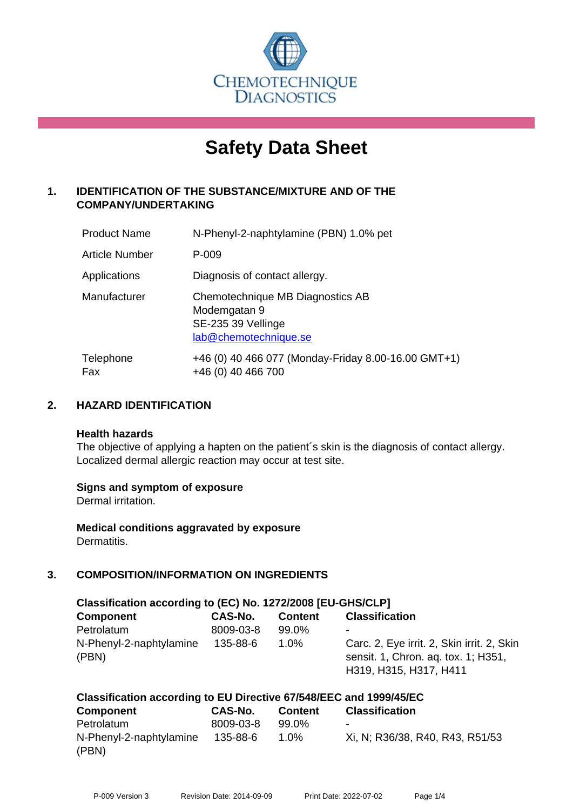

# **Safety Data Sheet**

# **1. IDENTIFICATION OF THE SUBSTANCE/MIXTURE AND OF THE COMPANY/UNDERTAKING**

| <b>Product Name</b>   | N-Phenyl-2-naphtylamine (PBN) 1.0% pet                                                          |
|-----------------------|-------------------------------------------------------------------------------------------------|
| <b>Article Number</b> | P-009                                                                                           |
| Applications          | Diagnosis of contact allergy.                                                                   |
| Manufacturer          | Chemotechnique MB Diagnostics AB<br>Modemgatan 9<br>SE-235 39 Vellinge<br>lab@chemotechnique.se |
| Telephone<br>Fax      | +46 (0) 40 466 077 (Monday-Friday 8.00-16.00 GMT+1)<br>+46 (0) 40 466 700                       |

# **2. HAZARD IDENTIFICATION**

#### **Health hazards**

The objective of applying a hapten on the patient's skin is the diagnosis of contact allergy. Localized dermal allergic reaction may occur at test site.

#### **Signs and symptom of exposure**

Dermal irritation.

**Medical conditions aggravated by exposure** Dermatitis.

# **3. COMPOSITION/INFORMATION ON INGREDIENTS**

| Classification according to (EC) No. 1272/2008 [EU-GHS/CLP] |           |                |                                                                                                             |  |
|-------------------------------------------------------------|-----------|----------------|-------------------------------------------------------------------------------------------------------------|--|
| <b>Component</b>                                            | CAS-No.   | <b>Content</b> | <b>Classification</b>                                                                                       |  |
| Petrolatum                                                  | 8009-03-8 | 99.0%          | $\overline{\phantom{0}}$                                                                                    |  |
| N-Phenyl-2-naphtylamine<br>(PBN)                            | 135-88-6  | 1.0%           | Carc. 2, Eye irrit. 2, Skin irrit. 2, Skin<br>sensit. 1, Chron. ag. tox. 1; H351,<br>H319, H315, H317, H411 |  |

| Classification according to EU Directive 67/548/EEC and 1999/45/EC |           |                |                                 |  |  |
|--------------------------------------------------------------------|-----------|----------------|---------------------------------|--|--|
| Component                                                          | CAS-No.   | <b>Content</b> | <b>Classification</b>           |  |  |
| Petrolatum                                                         | 8009-03-8 | $99.0\%$       | $\overline{\phantom{a}}$        |  |  |
| N-Phenyl-2-naphtylamine                                            | 135-88-6  | 1.0%           | Xi, N; R36/38, R40, R43, R51/53 |  |  |
| (PBN)                                                              |           |                |                                 |  |  |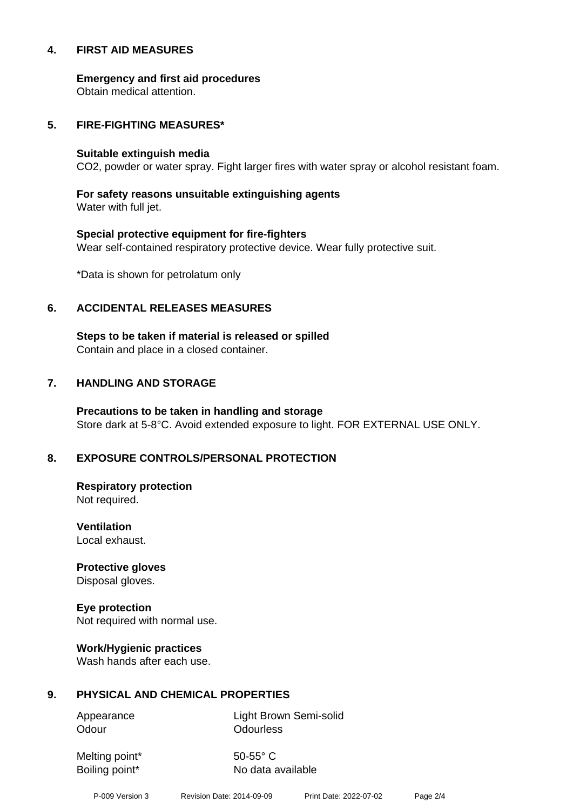#### **4. FIRST AID MEASURES**

**Emergency and first aid procedures**

Obtain medical attention.

#### **5. FIRE-FIGHTING MEASURES\***

#### **Suitable extinguish media**

CO2, powder or water spray. Fight larger fires with water spray or alcohol resistant foam.

# **For safety reasons unsuitable extinguishing agents**

Water with full jet.

# **Special protective equipment for fire-fighters** Wear self-contained respiratory protective device. Wear fully protective suit.

\*Data is shown for petrolatum only

# **6. ACCIDENTAL RELEASES MEASURES**

**Steps to be taken if material is released or spilled** Contain and place in a closed container.

# **7. HANDLING AND STORAGE**

**Precautions to be taken in handling and storage** Store dark at 5-8°C. Avoid extended exposure to light. FOR EXTERNAL USE ONLY.

# **8. EXPOSURE CONTROLS/PERSONAL PROTECTION**

**Respiratory protection** Not required.

**Ventilation** Local exhaust.

**Protective gloves** Disposal gloves.

# **Eye protection**

Not required with normal use.

#### **Work/Hygienic practices**

Wash hands after each use.

#### **9. PHYSICAL AND CHEMICAL PROPERTIES**

Odour **Odourless** 

Appearance Light Brown Semi-solid

Melting point\* 50-55° C

Boiling point\* No data available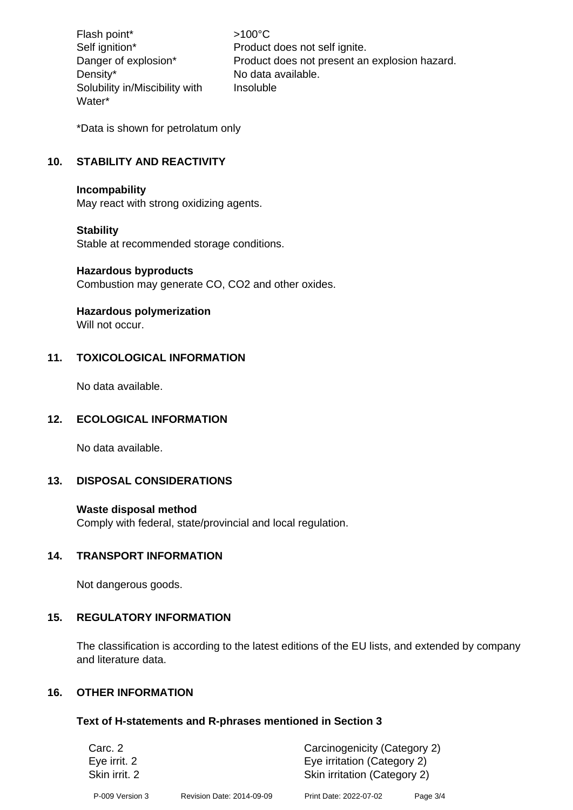Flash point\*  $>100^{\circ}$ C Density\* No data available. Solubility in/Miscibility with Water\*

Self ignition\* Product does not self ignite. Danger of explosion\* Product does not present an explosion hazard. Insoluble

\*Data is shown for petrolatum only

# **10. STABILITY AND REACTIVITY**

#### **Incompability**

May react with strong oxidizing agents.

#### **Stability**

Stable at recommended storage conditions.

#### **Hazardous byproducts**

Combustion may generate CO, CO2 and other oxides.

#### **Hazardous polymerization**

Will not occur.

# **11. TOXICOLOGICAL INFORMATION**

No data available.

#### **12. ECOLOGICAL INFORMATION**

No data available.

#### **13. DISPOSAL CONSIDERATIONS**

#### **Waste disposal method**

Comply with federal, state/provincial and local regulation.

#### **14. TRANSPORT INFORMATION**

Not dangerous goods.

# **15. REGULATORY INFORMATION**

The classification is according to the latest editions of the EU lists, and extended by company and literature data.

# **16. OTHER INFORMATION**

#### **Text of H-statements and R-phrases mentioned in Section 3**

| Carc. 2<br>Eye irrit. 2 |                           | Carcinogenicity (Category 2)<br>Eye irritation (Category 2) |          |  |
|-------------------------|---------------------------|-------------------------------------------------------------|----------|--|
| Skin irrit. 2           |                           | Skin irritation (Category 2)                                |          |  |
| P-009 Version 3         | Revision Date: 2014-09-09 | Print Date: 2022-07-02                                      | Page 3/4 |  |